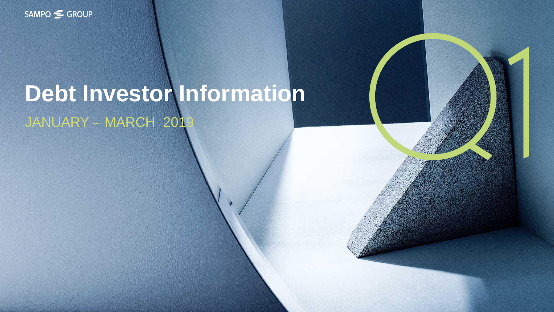

# **Debt Investor Information** JANUARY – MARCH 201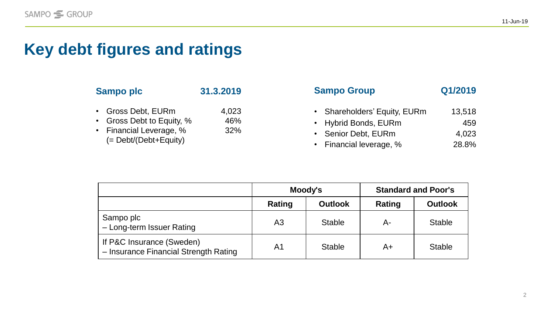## **Key debt figures and ratings**

| <b>Sampo plc</b>                                                                              | 31.3.2019           | <b>Sampo Group</b>                                                                                             | Q1/2019                         |
|-----------------------------------------------------------------------------------------------|---------------------|----------------------------------------------------------------------------------------------------------------|---------------------------------|
| Gross Debt, EURm<br>Gross Debt to Equity, %<br>Financial Leverage, %<br>(= Debt/(Debt+Equity) | 4,023<br>46%<br>32% | <b>Shareholders' Equity, EURm</b><br><b>Hybrid Bonds, EURm</b><br>Senior Debt, EURm<br>• Financial leverage, % | 13,518<br>459<br>4,023<br>28.8% |

|                                                                    |                | Moody's        | <b>Standard and Poor's</b> |                |  |
|--------------------------------------------------------------------|----------------|----------------|----------------------------|----------------|--|
|                                                                    | Rating         | <b>Outlook</b> | Rating                     | <b>Outlook</b> |  |
| Sampo plc<br>- Long-term Issuer Rating                             | A <sub>3</sub> | <b>Stable</b>  | $A-$                       | <b>Stable</b>  |  |
| If P&C Insurance (Sweden)<br>- Insurance Financial Strength Rating | A <sub>1</sub> | <b>Stable</b>  | A+                         | <b>Stable</b>  |  |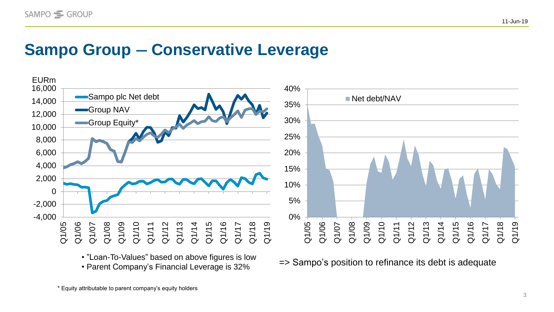#### **Sampo Group ― Conservative Leverage**



• "Loan-To-Values" based on above figures is low • Ebail-10-values based of above ligates is low  $\Rightarrow$  Sampo's position to refinance its debt is adequate • Parent Company's Financial Leverage is 32%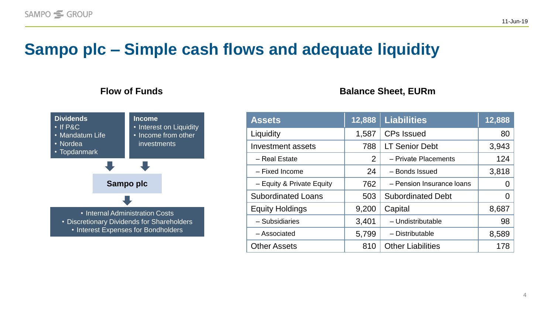### **Sampo plc ‒ Simple cash flows and adequate liquidity**



#### **Flow of Funds Balance** Sheet, EURm

| <b>Assets</b>             | 12,888 | <b>Liabilities</b>        | 12,888 |
|---------------------------|--------|---------------------------|--------|
| Liquidity                 | 1,587  | <b>CPs Issued</b>         | 80     |
| <b>Investment assets</b>  | 788    | <b>LT Senior Debt</b>     | 3,943  |
| - Real Estate             | 2      | - Private Placements      | 124    |
| - Fixed Income            | 24     | - Bonds Issued            | 3,818  |
| - Equity & Private Equity | 762    | - Pension Insurance Ioans | 0      |
| <b>Subordinated Loans</b> | 503    | <b>Subordinated Debt</b>  | 0      |
| <b>Equity Holdings</b>    | 9,200  | Capital                   | 8,687  |
| - Subsidiaries            | 3,401  | - Undistributable         | 98     |
| - Associated              | 5,799  | - Distributable           | 8,589  |
| <b>Other Assets</b>       | 810    | <b>Other Liabilities</b>  | 178    |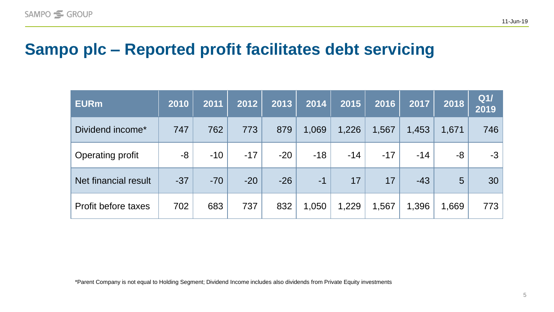#### **Sampo plc ‒ Reported profit facilitates debt servicing**

| <b>EURm</b>             | 2010  | 2011  | 2012  | 2013  | 2014  | 2015  | 2016  | 2017  | 2018  | Q1/<br>2019 |
|-------------------------|-------|-------|-------|-------|-------|-------|-------|-------|-------|-------------|
| Dividend income*        | 747   | 762   | 773   | 879   | 1,069 | 1,226 | 1,567 | 1,453 | 1,671 | 746         |
| <b>Operating profit</b> | -8    | $-10$ | $-17$ | $-20$ | $-18$ | $-14$ | $-17$ | $-14$ | -8    | $-3$        |
| Net financial result    | $-37$ | $-70$ | $-20$ | $-26$ | $-1$  | 17    | 17    | $-43$ | 5     | 30          |
| Profit before taxes     | 702   | 683   | 737   | 832   | 1,050 | 1,229 | 1,567 | 1,396 | 1,669 | 773         |

\*Parent Company is not equal to Holding Segment; Dividend Income includes also dividends from Private Equity investments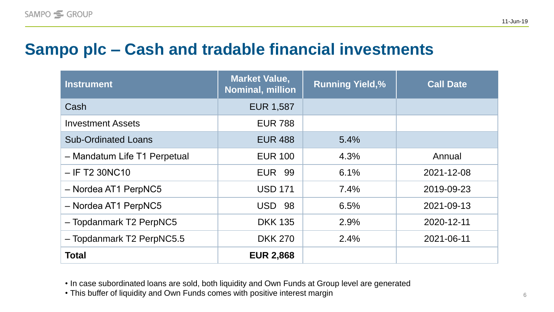### **Sampo plc ‒ Cash and tradable financial investments**

| <b>Instrument</b>            | <b>Market Value,</b><br><b>Nominal, million</b> | <b>Running Yield,%</b> | <b>Call Date</b> |
|------------------------------|-------------------------------------------------|------------------------|------------------|
| Cash                         | <b>EUR 1,587</b>                                |                        |                  |
| <b>Investment Assets</b>     | <b>EUR 788</b>                                  |                        |                  |
| <b>Sub-Ordinated Loans</b>   | <b>EUR 488</b>                                  | 5.4%                   |                  |
| - Mandatum Life T1 Perpetual | <b>EUR 100</b>                                  | 4.3%                   | Annual           |
| $-$ IF T2 30NC10             | <b>EUR 99</b>                                   | 6.1%                   | 2021-12-08       |
| - Nordea AT1 PerpNC5         | <b>USD 171</b>                                  | 7.4%                   | 2019-09-23       |
| - Nordea AT1 PerpNC5         | <b>USD</b><br>98                                | 6.5%                   | 2021-09-13       |
| - Topdanmark T2 PerpNC5      | <b>DKK 135</b>                                  | 2.9%                   | 2020-12-11       |
| - Topdanmark T2 PerpNC5.5    | <b>DKK 270</b>                                  | 2.4%                   | 2021-06-11       |
| <b>Total</b>                 | <b>EUR 2,868</b>                                |                        |                  |

• In case subordinated loans are sold, both liquidity and Own Funds at Group level are generated

• This buffer of liquidity and Own Funds comes with positive interest margin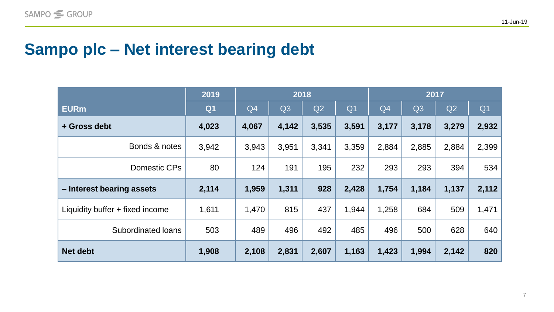### **Sampo plc ‒ Net interest bearing debt**

|                                 | 2019           | 2018  |                |       | 2017           |       |                |       |                |
|---------------------------------|----------------|-------|----------------|-------|----------------|-------|----------------|-------|----------------|
| <b>EURm</b>                     | Q <sub>1</sub> | Q4    | Q <sub>3</sub> | Q2    | Q <sub>1</sub> | Q4    | Q <sub>3</sub> | Q2    | Q <sub>1</sub> |
| + Gross debt                    | 4,023          | 4,067 | 4,142          | 3,535 | 3,591          | 3,177 | 3,178          | 3,279 | 2,932          |
| Bonds & notes                   | 3,942          | 3,943 | 3,951          | 3,341 | 3,359          | 2,884 | 2,885          | 2,884 | 2,399          |
| Domestic CPs                    | 80             | 124   | 191            | 195   | 232            | 293   | 293            | 394   | 534            |
| - Interest bearing assets       | 2,114          | 1,959 | 1,311          | 928   | 2,428          | 1,754 | 1,184          | 1,137 | 2,112          |
| Liquidity buffer + fixed income | 1,611          | 1,470 | 815            | 437   | 1,944          | 1,258 | 684            | 509   | 1,471          |
| Subordinated loans              | 503            | 489   | 496            | 492   | 485            | 496   | 500            | 628   | 640            |
| <b>Net debt</b>                 | 1,908          | 2,108 | 2,831          | 2,607 | 1,163          | 1,423 | 1,994          | 2,142 | 820            |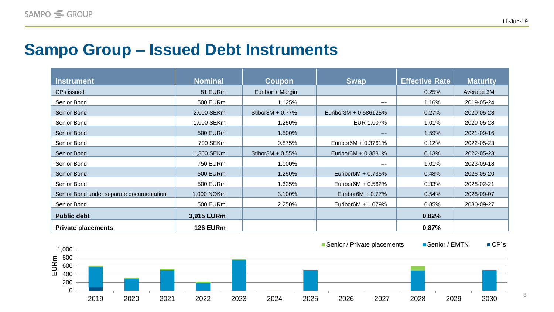### **Sampo Group ‒ Issued Debt Instruments**

| <b>Instrument</b>                        | <b>Nominal</b>  | Coupon               | <b>Swap</b>           | <b>Effective Rate</b> | <b>Maturity</b> |
|------------------------------------------|-----------------|----------------------|-----------------------|-----------------------|-----------------|
| <b>CPs issued</b>                        | 81 EURm         | Euribor + Margin     |                       | 0.25%                 | Average 3M      |
| Senior Bond                              | 500 EURm        | 1.125%               | $---$                 | 1.16%                 | 2019-05-24      |
| Senior Bond                              | 2,000 SEKm      | Stibor3M + 0.77%     | Euribor3M + 0.586125% | 0.27%                 | 2020-05-28      |
| Senior Bond                              | 1,000 SEKm      | 1.250%               | EUR 1.007%            | 1.01%                 | 2020-05-28      |
| Senior Bond                              | <b>500 EURm</b> | 1.500%               | $---$                 | 1.59%                 | 2021-09-16      |
| Senior Bond                              | 700 SEKm        | 0.875%               | Euribor6M + 0.3761%   | 0.12%                 | 2022-05-23      |
| Senior Bond                              | 1,300 SEKm      | Stibor $3M + 0.55\%$ | Euribor6M + 0.3881%   | 0.13%                 | 2022-05-23      |
| Senior Bond                              | <b>750 EURm</b> | 1.000%               | ---                   | 1.01%                 | 2023-09-18      |
| Senior Bond                              | <b>500 EURm</b> | 1.250%               | Euribor6M + 0.735%    | 0.48%                 | 2025-05-20      |
| Senior Bond                              | 500 EURm        | 1.625%               | Euribor6M + 0.562%    | 0.33%                 | 2028-02-21      |
| Senior Bond under separate documentation | 1,000 NOKm      | 3.100%               | Euribor $6M + 0.77\%$ | 0.54%                 | 2028-09-07      |
| Senior Bond                              | <b>500 EURm</b> | 2.250%               | Euribor6M + 1.079%    | 0.85%                 | 2030-09-27      |
| <b>Public debt</b>                       | 3,915 EURm      |                      |                       | 0.82%                 |                 |
| <b>Private placements</b>                | <b>126 EURm</b> |                      |                       | 0.87%                 |                 |